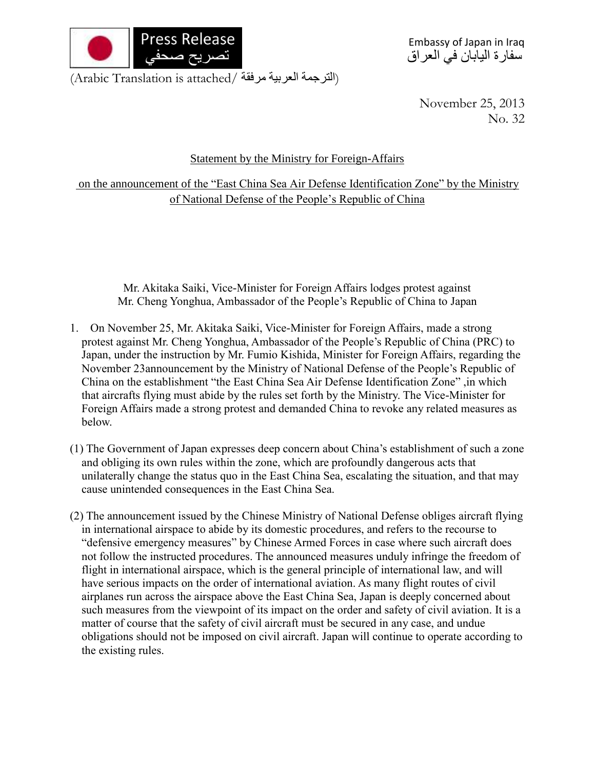

Embassy of Japan in Iraq سفارة اليابان في العراق

(الترجمة العربية مرفقة /Arabic Translation is attached)

November 25, 2013 No. 32

## Statement by the Ministry for Foreign-Affairs

on the announcement of the "East China Sea Air Defense Identification Zone" by the Ministry of National Defense of the People's Republic of China

Mr. Akitaka Saiki, Vice-Minister for Foreign Affairs lodges protest against Mr. Cheng Yonghua, Ambassador of the People's Republic of China to Japan

- 1. On November 25, Mr. Akitaka Saiki, Vice-Minister for Foreign Affairs, made a strong protest against Mr. Cheng Yonghua, Ambassador of the People's Republic of China (PRC) to Japan, under the instruction by Mr. Fumio Kishida, Minister for Foreign Affairs, regarding the November 23announcement by the Ministry of National Defense of the People's Republic of China on the establishment "the East China Sea Air Defense Identification Zone" ,in which that aircrafts flying must abide by the rules set forth by the Ministry. The Vice-Minister for Foreign Affairs made a strong protest and demanded China to revoke any related measures as below.
- (1) The Government of Japan expresses deep concern about China's establishment of such a zone and obliging its own rules within the zone, which are profoundly dangerous acts that unilaterally change the status quo in the East China Sea, escalating the situation, and that may cause unintended consequences in the East China Sea.
- (2) The announcement issued by the Chinese Ministry of National Defense obliges aircraft flying in international airspace to abide by its domestic procedures, and refers to the recourse to "defensive emergency measures" by Chinese Armed Forces in case where such aircraft does not follow the instructed procedures. The announced measures unduly infringe the freedom of flight in international airspace, which is the general principle of international law, and will have serious impacts on the order of international aviation. As many flight routes of civil airplanes run across the airspace above the East China Sea, Japan is deeply concerned about such measures from the viewpoint of its impact on the order and safety of civil aviation. It is a matter of course that the safety of civil aircraft must be secured in any case, and undue obligations should not be imposed on civil aircraft. Japan will continue to operate according to the existing rules.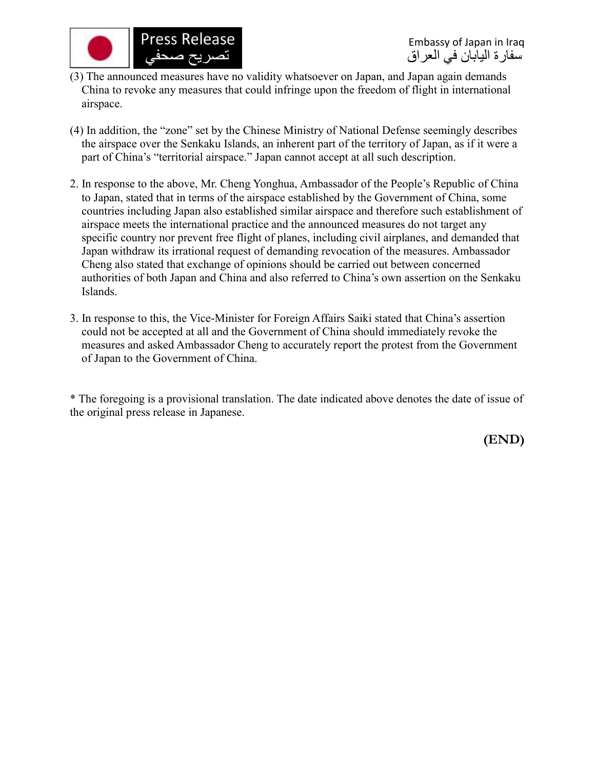

- (3) The announced measures have no validity whatsoever on Japan, and Japan again demands China to revoke any measures that could infringe upon the freedom of flight in international airspace.
- (4) In addition, the "zone" set by the Chinese Ministry of National Defense seemingly describes the airspace over the Senkaku Islands, an inherent part of the territory of Japan, as if it were a part of China's "territorial airspace." Japan cannot accept at all such description.
- 2. In response to the above, Mr. Cheng Yonghua, Ambassador of the People's Republic of China to Japan, stated that in terms of the airspace established by the Government of China, some countries including Japan also established similar airspace and therefore such establishment of airspace meets the international practice and the announced measures do not target any specific country nor prevent free flight of planes, including civil airplanes, and demanded that Japan withdraw its irrational request of demanding revocation of the measures. Ambassador Cheng also stated that exchange of opinions should be carried out between concerned authorities of both Japan and China and also referred to China's own assertion on the Senkaku Islands.
- 3. In response to this, the Vice-Minister for Foreign Affairs Saiki stated that China's assertion could not be accepted at all and the Government of China should immediately revoke the measures and asked Ambassador Cheng to accurately report the protest from the Government of Japan to the Government of China.

\* The foregoing is a provisional translation. The date indicated above denotes the date of issue of the original press release in Japanese.

**(END)**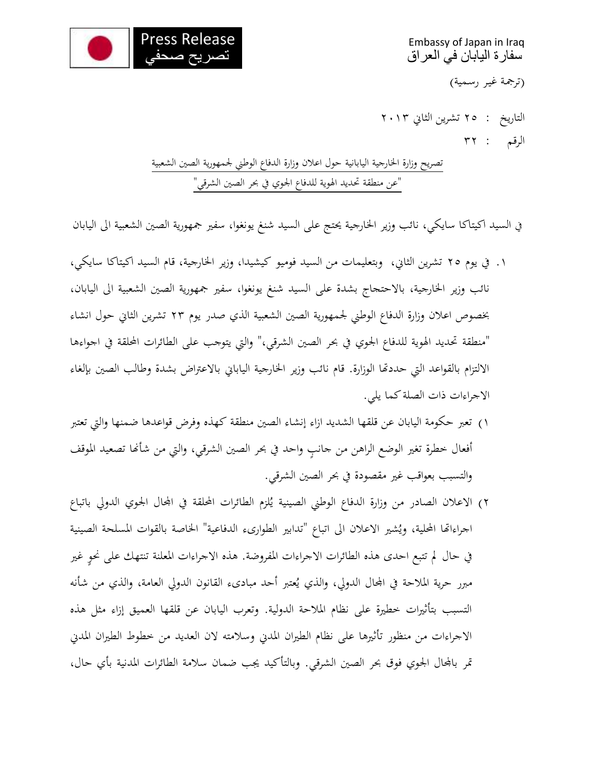

Embassy of Japan in Iraq سفارة اليابان في العراق

(ترجمة غير رسمية)

التاريخ : 25 تشرين الثاين 2023 الرقم : 32

تصريح وزارة الخارجية اليابانية حول اعلان وزارة الدفاع الوطني لجمهورية الصين الشعبية "عن منطقة حتديد اهلوية للدفاع اجلوي يف حبر الصني الشرقي"

ي السيد اكيتاكا سايكي، نائب وزير الخارجية يحتج على السيد شنغ يونغوا، سفير جمهورية الصين الشعبية الى اليابان

- .2 يف يوم 25 تشرين الثاين، وبتعليمات من السيد فوميو كيشيدا، وزير اخلارجية، قام السيد اكيتاكا سايكي، نائب وزير اخلارجية، باالحتجاج بشدة على السيد شنغ يونغوا، سفري مجهورية الصني الشعبية اىل اليابان، بخصوص اعلان وزارة الدفاع الوطني لجمهورية الصين الشعبية الذي صدر يوم ٢٣ تشرين الثاني حول انشاء "منطقة تحديد الهوية للدفاع الجوي في بحر الصين الشرقي،" والتي يتوجب على الطائرات المحلقة في اجواءها الالتزام بالقواعد التي حددتها الوزارة. قام نائب وزير الخارجية اليابايي بالاعتراض بشدة وطالب الصين بإلغاء االجراءات ذات الصلة كما يلي.
- 2( تعرب حكومة اليابان عن قلقها الشديد ازاء إنشاء الصني منطقة كهذه وفرض قواعدها ضمنها واليت تعترب أفعال خطرة تغير الوضع الراهن من حانبِ واحد في بحر الصين الشرقي، والتي من شأنها تصعيد الموقف والتسبب بعواقب غير مقصودة في بحر الصين الشرقي.
- ٢) الاعلان الصادر من وزارة الدفاع الوطني الصينية يُلزم الطائرات المحلقة في المحال الجوي الدولي باتباع اجراءاتها المحلية، ويُشير الاعلان الى اتباع "تدابير الطوارىء الدفاعية" الخاصة بالقوات المسلحة الصينية في حال لم تتبع احدى هذه الطائرات الاجراءات المفروضة. هذه الاجراءات المعلنة تنتهك على نحو غير مبرر حرية الملاحة في المحال الدولي، والذي يُعتبر أحد مبادىء القانون الدولي العامة، والذي من شأنه التسبب بتأثريات خطرية على نظام املالحة الدولية. وتعرب اليابان عن قلقها العميق إزاء مثل هذه الاجراءات من منظور تأثيرها على نظام الطيران المدبي وسلامته لان العديد من خطوط الطيران المدبي تمر بالمحال الجوي فوق بحر الصين الشرقي. وبالتأكيد يجب ضمان سلامة الطائرات المدنية بأي حال،